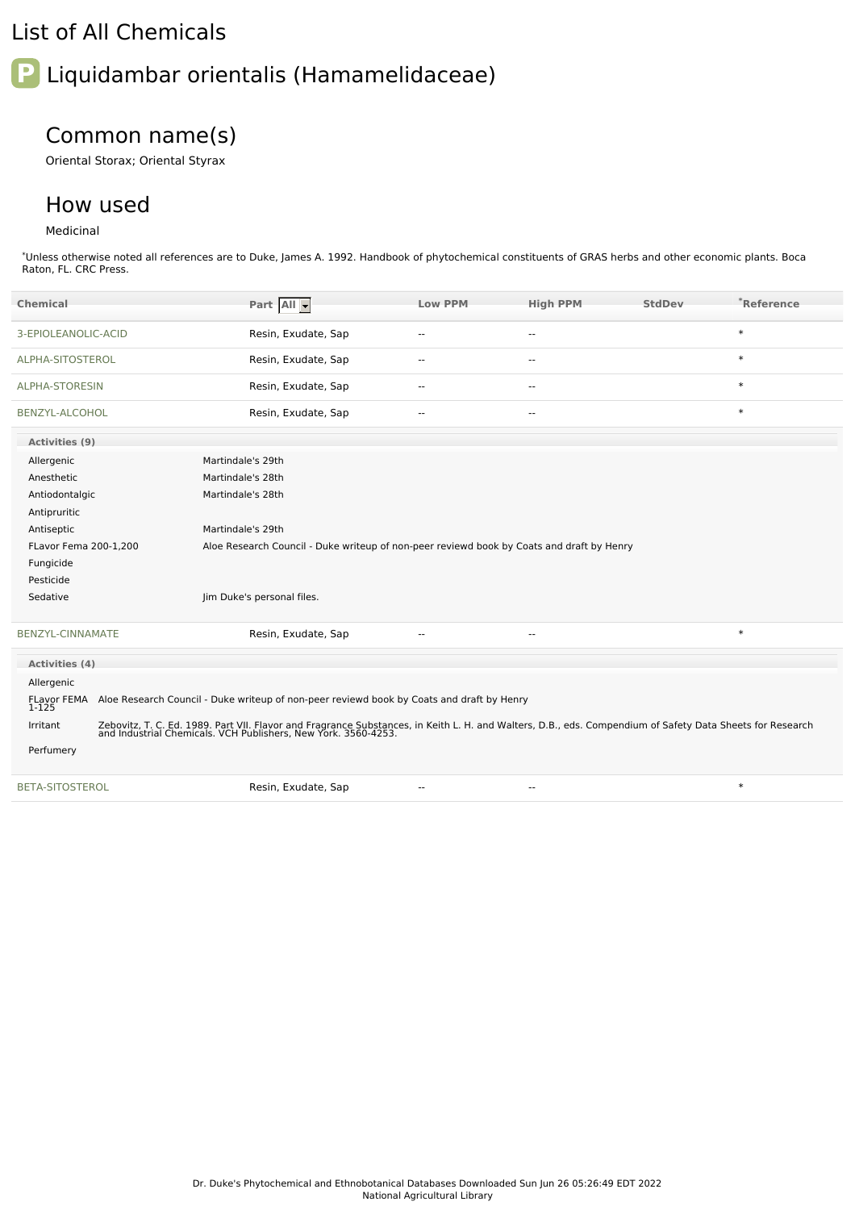### List of All Chemicals

# **P** Liquidambar orientalis (Hamamelidaceae)

## Common name(s)

Oriental Storax; Oriental Styrax

#### How used

#### Medicinal

\*Unless otherwise noted all references are to Duke, James A. 1992. Handbook of phytochemical constituents of GRAS herbs and other economic plants. Boca Raton, FL. CRC Press.

| <b>Chemical</b>         | Part All -                                                                                                                                                                                                               | <b>Low PPM</b>           | <b>High PPM</b> | <b>StdDev</b> | *Reference |  |  |
|-------------------------|--------------------------------------------------------------------------------------------------------------------------------------------------------------------------------------------------------------------------|--------------------------|-----------------|---------------|------------|--|--|
| 3-EPIOLEANOLIC-ACID     | Resin, Exudate, Sap                                                                                                                                                                                                      |                          | $-$             |               | $\ast$     |  |  |
| ALPHA-SITOSTEROL        | Resin, Exudate, Sap                                                                                                                                                                                                      | $\sim$                   | $\sim$          |               | $\ast$     |  |  |
| ALPHA-STORESIN          | Resin, Exudate, Sap                                                                                                                                                                                                      |                          | $-$             |               | $\ast$     |  |  |
| <b>BENZYL-ALCOHOL</b>   | Resin, Exudate, Sap                                                                                                                                                                                                      |                          | $-$             |               | $\ast$     |  |  |
| Activities (9)          |                                                                                                                                                                                                                          |                          |                 |               |            |  |  |
| Allergenic              | Martindale's 29th                                                                                                                                                                                                        |                          |                 |               |            |  |  |
| Anesthetic              | Martindale's 28th                                                                                                                                                                                                        |                          |                 |               |            |  |  |
| Antiodontalgic          | Martindale's 28th                                                                                                                                                                                                        |                          |                 |               |            |  |  |
| Antipruritic            |                                                                                                                                                                                                                          |                          |                 |               |            |  |  |
| Antiseptic              | Martindale's 29th                                                                                                                                                                                                        |                          |                 |               |            |  |  |
| FLavor Fema 200-1,200   | Aloe Research Council - Duke writeup of non-peer reviewd book by Coats and draft by Henry                                                                                                                                |                          |                 |               |            |  |  |
| Fungicide               |                                                                                                                                                                                                                          |                          |                 |               |            |  |  |
| Pesticide               |                                                                                                                                                                                                                          |                          |                 |               |            |  |  |
| Sedative                | Jim Duke's personal files.                                                                                                                                                                                               |                          |                 |               |            |  |  |
| <b>BENZYL-CINNAMATE</b> | Resin, Exudate, Sap                                                                                                                                                                                                      | $-1$                     | $-$             |               | $\ast$     |  |  |
| Activities (4)          |                                                                                                                                                                                                                          |                          |                 |               |            |  |  |
| Allergenic              |                                                                                                                                                                                                                          |                          |                 |               |            |  |  |
| FLavor FEMA<br>1-125    | Aloe Research Council - Duke writeup of non-peer reviewd book by Coats and draft by Henry                                                                                                                                |                          |                 |               |            |  |  |
| Irritant                | Zebovitz, T. C. Ed. 1989. Part VII. Flavor and Fragrance Substances, in Keith L. H. and Walters, D.B., eds. Compendium of Safety Data Sheets for Research and Industrial Chemicals. VCH Publishers, New York. 3560-4253. |                          |                 |               |            |  |  |
| Perfumery               |                                                                                                                                                                                                                          |                          |                 |               |            |  |  |
| <b>BETA-SITOSTEROL</b>  | Resin, Exudate, Sap                                                                                                                                                                                                      | $\overline{\phantom{a}}$ | $\overline{a}$  |               | $\ast$     |  |  |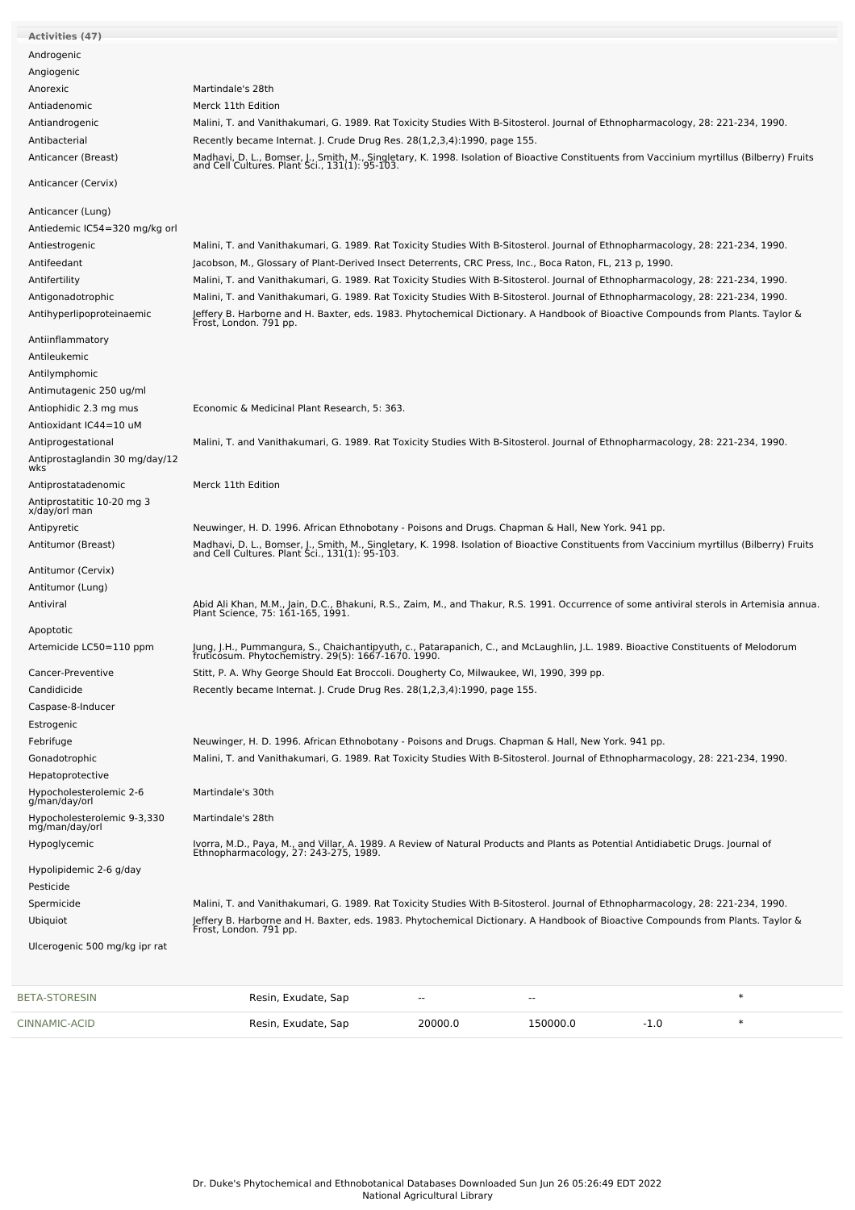| <b>Activities (47)</b>                                         |                                                                                                                                                                                                                                                                    |         |          |        |        |
|----------------------------------------------------------------|--------------------------------------------------------------------------------------------------------------------------------------------------------------------------------------------------------------------------------------------------------------------|---------|----------|--------|--------|
| Androgenic                                                     |                                                                                                                                                                                                                                                                    |         |          |        |        |
| Angiogenic                                                     |                                                                                                                                                                                                                                                                    |         |          |        |        |
| Anorexic                                                       | Martindale's 28th                                                                                                                                                                                                                                                  |         |          |        |        |
| Antiadenomic                                                   | Merck 11th Edition                                                                                                                                                                                                                                                 |         |          |        |        |
| Antiandrogenic                                                 | Malini, T. and Vanithakumari, G. 1989. Rat Toxicity Studies With B-Sitosterol. Journal of Ethnopharmacology, 28: 221-234, 1990.                                                                                                                                    |         |          |        |        |
| Antibacterial                                                  | Recently became Internat. J. Crude Drug Res. 28(1,2,3,4):1990, page 155.                                                                                                                                                                                           |         |          |        |        |
| Anticancer (Breast)                                            | Madhavi, D. L., Bomser, J., Smith, M., Singletary, K. 1998. Isolation of Bioactive Constituents from Vaccinium myrtillus (Bilberry) Fruits and Cell Cultures. Plant Sci., 131(1): 95-103.                                                                          |         |          |        |        |
| Anticancer (Cervix)                                            |                                                                                                                                                                                                                                                                    |         |          |        |        |
| Anticancer (Lung)                                              |                                                                                                                                                                                                                                                                    |         |          |        |        |
| Antiedemic IC54=320 mg/kg orl                                  |                                                                                                                                                                                                                                                                    |         |          |        |        |
| Antiestrogenic                                                 | Malini, T. and Vanithakumari, G. 1989. Rat Toxicity Studies With B-Sitosterol. Journal of Ethnopharmacology, 28: 221-234, 1990.                                                                                                                                    |         |          |        |        |
| Antifeedant                                                    | Jacobson, M., Glossary of Plant-Derived Insect Deterrents, CRC Press, Inc., Boca Raton, FL, 213 p, 1990.                                                                                                                                                           |         |          |        |        |
| Antifertility                                                  | Malini, T. and Vanithakumari, G. 1989. Rat Toxicity Studies With B-Sitosterol. Journal of Ethnopharmacology, 28: 221-234, 1990.<br>Malini, T. and Vanithakumari, G. 1989. Rat Toxicity Studies With B-Sitosterol. Journal of Ethnopharmacology, 28: 221-234, 1990. |         |          |        |        |
| Antigonadotrophic<br>Antihyperlipoproteinaemic                 |                                                                                                                                                                                                                                                                    |         |          |        |        |
|                                                                | Jeffery B. Harborne and H. Baxter, eds. 1983. Phytochemical Dictionary. A Handbook of Bioactive Compounds from Plants. Taylor &<br>Frost, London. 791 pp.                                                                                                          |         |          |        |        |
| Antiinflammatory                                               |                                                                                                                                                                                                                                                                    |         |          |        |        |
| Antileukemic                                                   |                                                                                                                                                                                                                                                                    |         |          |        |        |
| Antilymphomic                                                  |                                                                                                                                                                                                                                                                    |         |          |        |        |
| Antimutagenic 250 ug/ml<br>Antiophidic 2.3 mg mus              | Economic & Medicinal Plant Research, 5: 363.                                                                                                                                                                                                                       |         |          |        |        |
| Antioxidant IC44=10 uM                                         |                                                                                                                                                                                                                                                                    |         |          |        |        |
| Antiprogestational                                             | Malini, T. and Vanithakumari, G. 1989. Rat Toxicity Studies With B-Sitosterol. Journal of Ethnopharmacology, 28: 221-234, 1990.                                                                                                                                    |         |          |        |        |
| Antiprostaglandin 30 mg/day/12                                 |                                                                                                                                                                                                                                                                    |         |          |        |        |
| wks                                                            |                                                                                                                                                                                                                                                                    |         |          |        |        |
| Antiprostatadenomic                                            | Merck 11th Edition                                                                                                                                                                                                                                                 |         |          |        |        |
| Antiprostatitic 10-20 mg 3<br>x/day/orl man                    |                                                                                                                                                                                                                                                                    |         |          |        |        |
| Antipyretic                                                    | Neuwinger, H. D. 1996. African Ethnobotany - Poisons and Drugs. Chapman & Hall, New York. 941 pp.                                                                                                                                                                  |         |          |        |        |
| Antitumor (Breast)                                             | Madhavi, D. L., Bomser, J., Smith, M., Singletary, K. 1998. Isolation of Bioactive Constituents from Vaccinium myrtillus (Bilberry) Fruits and Cell Cultures. Plant Sci., 131(1): 95-103.                                                                          |         |          |        |        |
| Antitumor (Cervix)                                             |                                                                                                                                                                                                                                                                    |         |          |        |        |
| Antitumor (Lung)                                               |                                                                                                                                                                                                                                                                    |         |          |        |        |
| Antiviral                                                      | Abid Ali Khan, M.M., Jain, D.C., Bhakuni, R.S., Zaim, M., and Thakur, R.S. 1991. Occurrence of some antiviral sterols in Artemisia annua.<br>Plant Science, 75: 161-165, 1991.                                                                                     |         |          |        |        |
|                                                                |                                                                                                                                                                                                                                                                    |         |          |        |        |
| Apoptotic<br>Artemicide LC50=110 ppm                           |                                                                                                                                                                                                                                                                    |         |          |        |        |
|                                                                | Jung, J.H., Pummangura, S., Chaichantipyuth, c., Patarapanich, C., and McLaughlin, J.L. 1989. Bioactive Constituents of Melodorum<br>fruticosum. Phytochemistry. 29(5): 1667-1670. 1990.                                                                           |         |          |        |        |
| Cancer-Preventive                                              | Stitt, P. A. Why George Should Eat Broccoli. Dougherty Co, Milwaukee, WI, 1990, 399 pp.                                                                                                                                                                            |         |          |        |        |
| Candidicide                                                    | Recently became Internat. J. Crude Drug Res. 28(1,2,3,4):1990, page 155.                                                                                                                                                                                           |         |          |        |        |
| Caspase-8-Inducer                                              |                                                                                                                                                                                                                                                                    |         |          |        |        |
| Estrogenic                                                     |                                                                                                                                                                                                                                                                    |         |          |        |        |
| Febrifuge                                                      | Neuwinger, H. D. 1996. African Ethnobotany - Poisons and Drugs. Chapman & Hall, New York. 941 pp.<br>Malini, T. and Vanithakumari, G. 1989. Rat Toxicity Studies With B-Sitosterol. Journal of Ethnopharmacology, 28: 221-234, 1990.                               |         |          |        |        |
| Gonadotrophic<br>Hepatoprotective                              |                                                                                                                                                                                                                                                                    |         |          |        |        |
| Hypocholesterolemic 2-6                                        | Martindale's 30th                                                                                                                                                                                                                                                  |         |          |        |        |
| g/man/day/orl<br>Hypocholesterolemic 9-3,330<br>mg/man/day/orl | Martindale's 28th                                                                                                                                                                                                                                                  |         |          |        |        |
| Hypoglycemic                                                   | Ivorra, M.D., Paya, M., and Villar, A. 1989. A Review of Natural Products and Plants as Potential Antidiabetic Drugs. Journal of<br>Ethnopharmacology, 27: 243-275, 1989.                                                                                          |         |          |        |        |
|                                                                |                                                                                                                                                                                                                                                                    |         |          |        |        |
| Hypolipidemic 2-6 g/day<br>Pesticide                           |                                                                                                                                                                                                                                                                    |         |          |        |        |
| Spermicide                                                     | Malini, T. and Vanithakumari, G. 1989. Rat Toxicity Studies With B-Sitosterol. Journal of Ethnopharmacology, 28: 221-234, 1990.                                                                                                                                    |         |          |        |        |
| Ubiquiot                                                       | Jeffery B. Harborne and H. Baxter, eds. 1983. Phytochemical Dictionary. A Handbook of Bioactive Compounds from Plants. Taylor &<br>Frost, London. 791 pp.                                                                                                          |         |          |        |        |
| Ulcerogenic 500 mg/kg ipr rat                                  |                                                                                                                                                                                                                                                                    |         |          |        |        |
| <b>BETA-STORESIN</b>                                           | Resin, Exudate, Sap                                                                                                                                                                                                                                                |         |          |        | $\ast$ |
| CINNAMIC-ACID                                                  | Resin, Exudate, Sap                                                                                                                                                                                                                                                | 20000.0 | 150000.0 | $-1.0$ | $\ast$ |
|                                                                |                                                                                                                                                                                                                                                                    |         |          |        |        |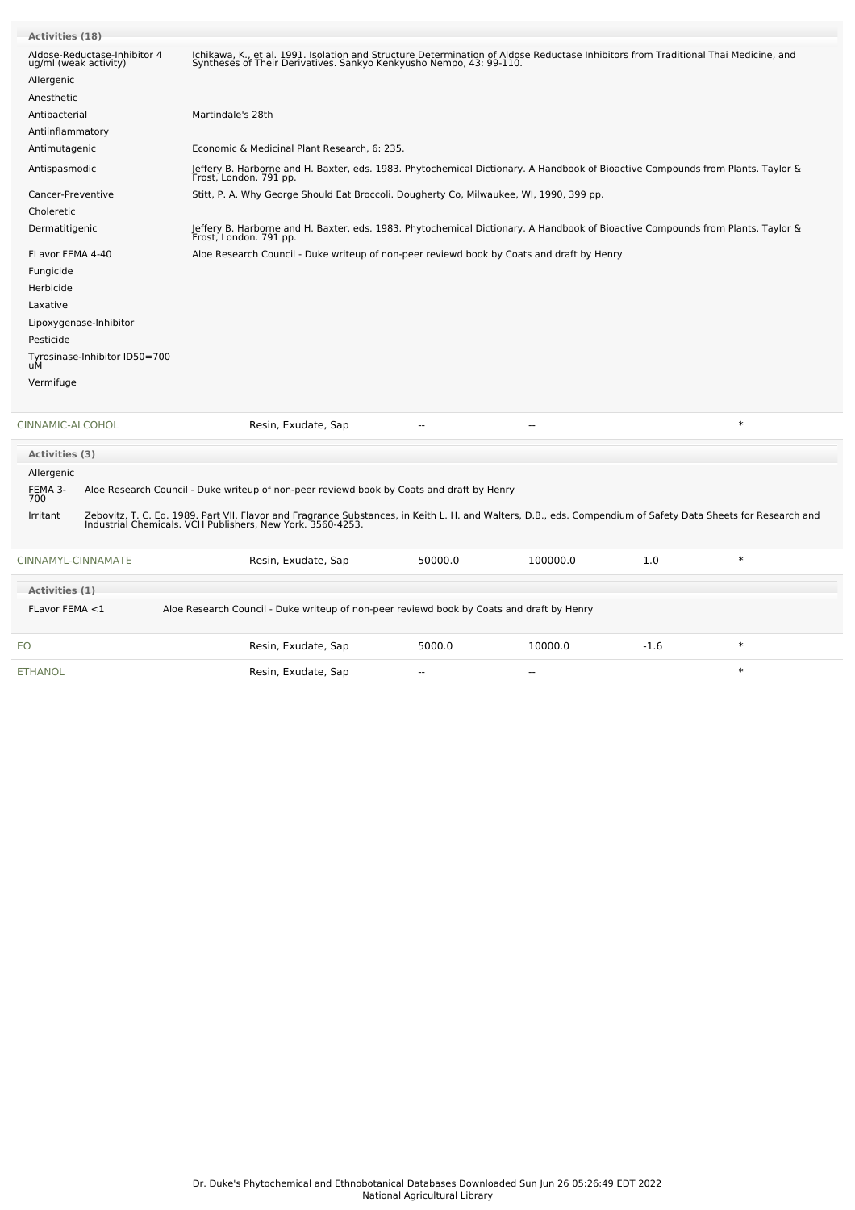| <b>Activities (18)</b> |                                     |                                                                                                                                                                                                                             |                                                                                                                                                                                                           |                |        |        |  |  |  |
|------------------------|-------------------------------------|-----------------------------------------------------------------------------------------------------------------------------------------------------------------------------------------------------------------------------|-----------------------------------------------------------------------------------------------------------------------------------------------------------------------------------------------------------|----------------|--------|--------|--|--|--|
| ug/ml (weak activity)  | Aldose-Reductase-Inhibitor 4        | Ichikawa, K., et al. 1991. Isolation and Structure Determination of Aldose Reductase Inhibitors from Traditional Thai Medicine, and<br>Syntheses of Their Derivatives. Sankyo Kenkyusho Nempo, 43: 99-110.                  |                                                                                                                                                                                                           |                |        |        |  |  |  |
| Allergenic             |                                     |                                                                                                                                                                                                                             |                                                                                                                                                                                                           |                |        |        |  |  |  |
| Anesthetic             |                                     |                                                                                                                                                                                                                             |                                                                                                                                                                                                           |                |        |        |  |  |  |
| Antibacterial          |                                     | Martindale's 28th                                                                                                                                                                                                           |                                                                                                                                                                                                           |                |        |        |  |  |  |
| Antiinflammatory       |                                     |                                                                                                                                                                                                                             |                                                                                                                                                                                                           |                |        |        |  |  |  |
| Antimutagenic          |                                     |                                                                                                                                                                                                                             | Economic & Medicinal Plant Research, 6: 235.<br>Jeffery B. Harborne and H. Baxter, eds. 1983. Phytochemical Dictionary. A Handbook of Bioactive Compounds from Plants. Taylor &<br>Frost, London. 791 pp. |                |        |        |  |  |  |
| Antispasmodic          |                                     |                                                                                                                                                                                                                             |                                                                                                                                                                                                           |                |        |        |  |  |  |
| Cancer-Preventive      |                                     | Stitt, P. A. Why George Should Eat Broccoli. Dougherty Co, Milwaukee, WI, 1990, 399 pp.                                                                                                                                     |                                                                                                                                                                                                           |                |        |        |  |  |  |
| Choleretic             |                                     |                                                                                                                                                                                                                             |                                                                                                                                                                                                           |                |        |        |  |  |  |
| Dermatitigenic         |                                     | Jeffery B. Harborne and H. Baxter, eds. 1983. Phytochemical Dictionary. A Handbook of Bioactive Compounds from Plants. Taylor &<br>Frost, London. 791 pp.                                                                   |                                                                                                                                                                                                           |                |        |        |  |  |  |
| FLavor FEMA 4-40       |                                     | Aloe Research Council - Duke writeup of non-peer reviewd book by Coats and draft by Henry                                                                                                                                   |                                                                                                                                                                                                           |                |        |        |  |  |  |
| Fungicide              |                                     |                                                                                                                                                                                                                             |                                                                                                                                                                                                           |                |        |        |  |  |  |
| Herbicide              |                                     |                                                                                                                                                                                                                             |                                                                                                                                                                                                           |                |        |        |  |  |  |
| Laxative               |                                     |                                                                                                                                                                                                                             |                                                                                                                                                                                                           |                |        |        |  |  |  |
| Lipoxygenase-Inhibitor |                                     |                                                                                                                                                                                                                             |                                                                                                                                                                                                           |                |        |        |  |  |  |
| Pesticide              |                                     |                                                                                                                                                                                                                             |                                                                                                                                                                                                           |                |        |        |  |  |  |
|                        | Tyrosinase-Inhibitor ID50=700<br>uM |                                                                                                                                                                                                                             |                                                                                                                                                                                                           |                |        |        |  |  |  |
| Vermifuge              |                                     |                                                                                                                                                                                                                             |                                                                                                                                                                                                           |                |        |        |  |  |  |
|                        |                                     |                                                                                                                                                                                                                             |                                                                                                                                                                                                           |                |        |        |  |  |  |
| CINNAMIC-ALCOHOL       |                                     | Resin, Exudate, Sap                                                                                                                                                                                                         |                                                                                                                                                                                                           |                |        | $\ast$ |  |  |  |
| <b>Activities (3)</b>  |                                     |                                                                                                                                                                                                                             |                                                                                                                                                                                                           |                |        |        |  |  |  |
| Allergenic             |                                     |                                                                                                                                                                                                                             |                                                                                                                                                                                                           |                |        |        |  |  |  |
| FEMA 3-<br>700         |                                     | Aloe Research Council - Duke writeup of non-peer reviewd book by Coats and draft by Henry                                                                                                                                   |                                                                                                                                                                                                           |                |        |        |  |  |  |
| Irritant               |                                     | Zebovitz, T. C. Ed. 1989. Part VII. Flavor and Fragrance Substances, in Keith L. H. and Walters, D.B., eds. Compendium of Safety Data Sheets for Research and<br>Industrial Chemicals. VCH Publishers, New York. 3560-4253. |                                                                                                                                                                                                           |                |        |        |  |  |  |
| CINNAMYL-CINNAMATE     |                                     | Resin, Exudate, Sap                                                                                                                                                                                                         | 50000.0                                                                                                                                                                                                   | 100000.0       | 1.0    | $\ast$ |  |  |  |
| Activities (1)         |                                     |                                                                                                                                                                                                                             |                                                                                                                                                                                                           |                |        |        |  |  |  |
| FLavor FEMA <1         |                                     | Aloe Research Council - Duke writeup of non-peer reviewd book by Coats and draft by Henry                                                                                                                                   |                                                                                                                                                                                                           |                |        |        |  |  |  |
| EO                     |                                     | Resin, Exudate, Sap                                                                                                                                                                                                         | 5000.0                                                                                                                                                                                                    | 10000.0        | $-1.6$ | $\ast$ |  |  |  |
| ETHANOL                |                                     | Resin, Exudate, Sap                                                                                                                                                                                                         | $\overline{a}$                                                                                                                                                                                            | $\overline{a}$ |        | $\ast$ |  |  |  |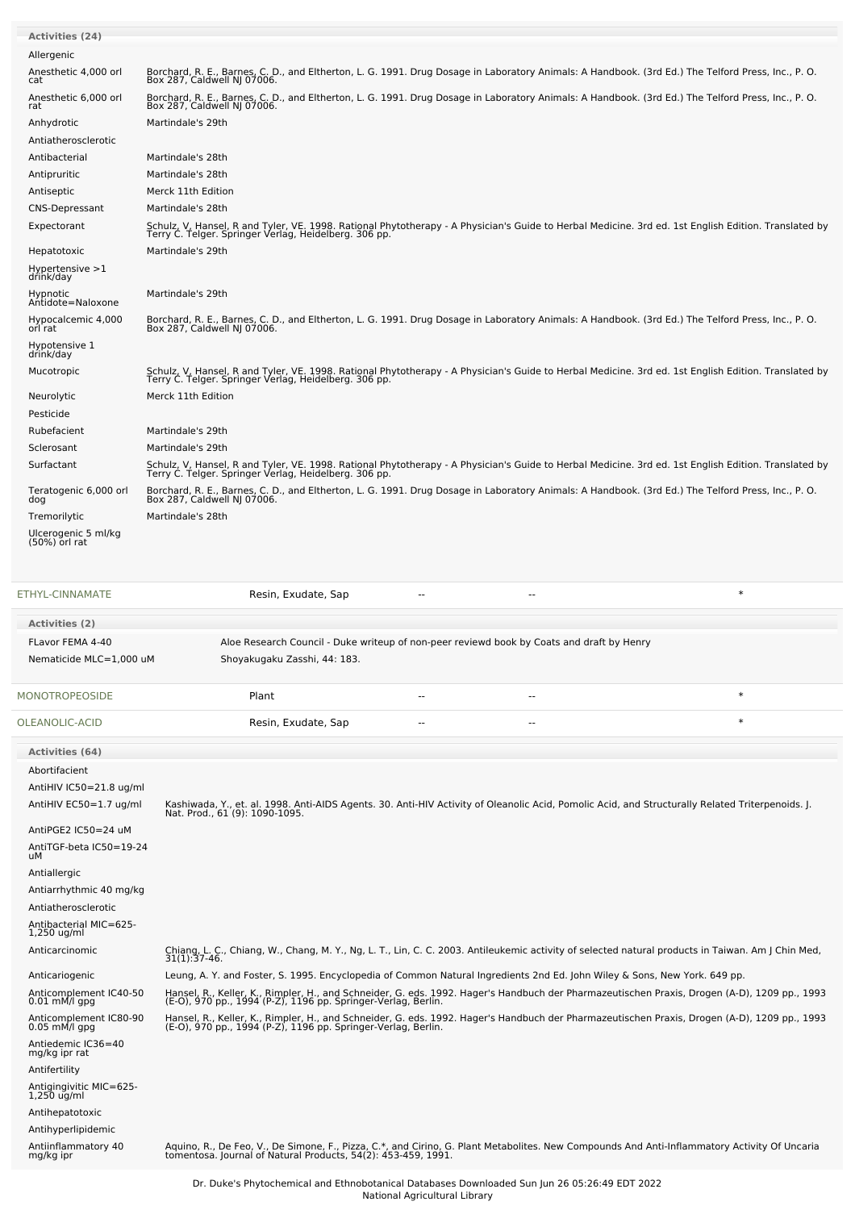| <b>Activities (24)</b>               |                                                                                                                                                                                                               |
|--------------------------------------|---------------------------------------------------------------------------------------------------------------------------------------------------------------------------------------------------------------|
| Allergenic                           |                                                                                                                                                                                                               |
| Anesthetic 4,000 orl<br>cat          | Borchard, R. E., Barnes, C. D., and Eltherton, L. G. 1991. Drug Dosage in Laboratory Animals: A Handbook. (3rd Ed.) The Telford Press, Inc., P. O.<br>Box 287, Caldwell NJ 07006.                             |
| Anesthetic 6,000 orl<br>rat          | Borchard, R. E., Barnes, C. D., and Eltherton, L. G. 1991. Drug Dosage in Laboratory Animals: A Handbook. (3rd Ed.) The Telford Press, Inc., P. O.<br>Box 287, Caldwell NJ 07006.                             |
| Anhydrotic                           | Martindale's 29th                                                                                                                                                                                             |
| Antiatherosclerotic                  |                                                                                                                                                                                                               |
| Antibacterial                        | Martindale's 28th                                                                                                                                                                                             |
| Antipruritic                         | Martindale's 28th                                                                                                                                                                                             |
| Antiseptic                           | Merck 11th Edition                                                                                                                                                                                            |
| <b>CNS-Depressant</b>                | Martindale's 28th                                                                                                                                                                                             |
| Expectorant                          | Schulz, V, Hansel, R and Tyler, VE. 1998. Rational Phytotherapy - A Physician's Guide to Herbal Medicine. 3rd ed. 1st English Edition. Translated by<br>Terry C. Telger. Springer Verlag, Heidelberg. 306 pp. |
| Hepatotoxic                          | Martindale's 29th                                                                                                                                                                                             |
| Hypertensive $>1$<br>drink/day       |                                                                                                                                                                                                               |
| Hypnotic<br>Antidote=Naloxone        | Martindale's 29th                                                                                                                                                                                             |
| Hypocalcemic 4,000<br>orl rat        | Borchard, R. E., Barnes, C. D., and Eltherton, L. G. 1991. Drug Dosage in Laboratory Animals: A Handbook. (3rd Ed.) The Telford Press, Inc., P. O.<br>Box 287, Caldwell NJ 07006.                             |
| Hypotensive 1<br>drink/day           |                                                                                                                                                                                                               |
| Mucotropic                           | Schulz, V, Hansel, R and Tyler, VE. 1998. Rational Phytotherapy - A Physician's Guide to Herbal Medicine. 3rd ed. 1st English Edition. Translated by<br>Terry C. Telger. Springer Verlag, Heidelberg. 306 pp. |
| Neurolytic                           | Merck 11th Edition                                                                                                                                                                                            |
| Pesticide                            |                                                                                                                                                                                                               |
| Rubefacient                          | Martindale's 29th                                                                                                                                                                                             |
| Sclerosant                           | Martindale's 29th                                                                                                                                                                                             |
| Surfactant                           | Schulz, V, Hansel, R and Tyler, VE. 1998. Rational Phytotherapy - A Physician's Guide to Herbal Medicine. 3rd ed. 1st English Edition. Translated by<br>Terry C. Telger. Springer Verlag, Heidelberg. 306 pp. |
| Teratogenic 6,000 orl<br>dog         | Borchard, R. E., Barnes, C. D., and Eltherton, L. G. 1991. Drug Dosage in Laboratory Animals: A Handbook. (3rd Ed.) The Telford Press, Inc., P. O.<br>Box 287, Caldwell NJ 07006.                             |
| Tremorilytic                         | Martindale's 28th                                                                                                                                                                                             |
| Ulcerogenic 5 ml/kg<br>(50%) orl rat |                                                                                                                                                                                                               |

| ETHYL-CINNAMATE                           | Resin, Exudate, Sap                                                                                                                                                                |                |     | $\ast$                                                                                                                                                                                                        |
|-------------------------------------------|------------------------------------------------------------------------------------------------------------------------------------------------------------------------------------|----------------|-----|---------------------------------------------------------------------------------------------------------------------------------------------------------------------------------------------------------------|
| <b>Activities (2)</b>                     |                                                                                                                                                                                    |                |     |                                                                                                                                                                                                               |
| FLavor FEMA 4-40                          | Aloe Research Council - Duke writeup of non-peer reviewd book by Coats and draft by Henry                                                                                          |                |     |                                                                                                                                                                                                               |
| Nematicide MLC=1,000 uM                   | Shoyakugaku Zasshi, 44: 183.                                                                                                                                                       |                |     |                                                                                                                                                                                                               |
| <b>MONOTROPEOSIDE</b>                     | Plant                                                                                                                                                                              | $\overline{a}$ | $-$ | $\ast$                                                                                                                                                                                                        |
| OLEANOLIC-ACID                            | Resin, Exudate, Sap                                                                                                                                                                |                |     | $\ast$                                                                                                                                                                                                        |
| <b>Activities (64)</b>                    |                                                                                                                                                                                    |                |     |                                                                                                                                                                                                               |
| Abortifacient                             |                                                                                                                                                                                    |                |     |                                                                                                                                                                                                               |
| AntiHIV IC50=21.8 ug/ml                   |                                                                                                                                                                                    |                |     |                                                                                                                                                                                                               |
| AntiHIV EC50=1.7 ug/ml                    | Kashiwada, Y., et. al. 1998. Anti-AIDS Agents. 30. Anti-HIV Activity of Oleanolic Acid, Pomolic Acid, and Structurally Related Triterpenoids. J.<br>Nat. Prod., 61 (9): 1090-1095. |                |     |                                                                                                                                                                                                               |
| AntiPGE2 IC50=24 uM                       |                                                                                                                                                                                    |                |     |                                                                                                                                                                                                               |
| AntiTGF-beta IC50=19-24<br>uМ             |                                                                                                                                                                                    |                |     |                                                                                                                                                                                                               |
| Antiallergic                              |                                                                                                                                                                                    |                |     |                                                                                                                                                                                                               |
| Antiarrhythmic 40 mg/kg                   |                                                                                                                                                                                    |                |     |                                                                                                                                                                                                               |
| Antiatherosclerotic                       |                                                                                                                                                                                    |                |     |                                                                                                                                                                                                               |
| Antibacterial MIC=625-<br>1,250 ug/ml     |                                                                                                                                                                                    |                |     |                                                                                                                                                                                                               |
| Anticarcinomic                            |                                                                                                                                                                                    |                |     | Chiang, L. C., Chiang, W., Chang, M. Y., Ng, L. T., Lin, C. C. 2003. Antileukemic activity of selected natural products in Taiwan. Am J Chin Med,<br>31(1):37-46.                                             |
| Anticariogenic                            | Leung, A. Y. and Foster, S. 1995. Encyclopedia of Common Natural Ingredients 2nd Ed. John Wiley & Sons, New York. 649 pp.                                                          |                |     |                                                                                                                                                                                                               |
| Anticomplement IC40-50<br>$0.01$ mM/l gpg |                                                                                                                                                                                    |                |     | Hansel, R., Keller, K., Rimpler, H., and Schneider, G. eds. 1992. Hager's Handbuch der Pharmazeutischen Praxis, Drogen (A-D), 1209 pp., 1993<br>(E-O), 970 pp., 1994 (P-Z), 1196 pp. Springer-Verlag, Berlin. |
| Anticomplement IC80-90<br>$0.05$ mM/l gpg |                                                                                                                                                                                    |                |     | Hansel, R., Keller, K., Rimpler, H., and Schneider, G. eds. 1992. Hager's Handbuch der Pharmazeutischen Praxis, Drogen (A-D), 1209 pp., 1993<br>(E-O), 970 pp., 1994 (P-Z), 1196 pp. Springer-Verlag, Berlin. |
| Antiedemic IC36=40<br>mg/kg ipr rat       |                                                                                                                                                                                    |                |     |                                                                                                                                                                                                               |
| Antifertility                             |                                                                                                                                                                                    |                |     |                                                                                                                                                                                                               |
| Antigingivitic MIC=625-<br>$1,250$ ug/ml  |                                                                                                                                                                                    |                |     |                                                                                                                                                                                                               |
| Antihepatotoxic                           |                                                                                                                                                                                    |                |     |                                                                                                                                                                                                               |
| Antihyperlipidemic                        |                                                                                                                                                                                    |                |     |                                                                                                                                                                                                               |
| Antiinflammatory 40<br>mg/kg ipr          |                                                                                                                                                                                    |                |     | Aquino, R., De Feo, V., De Simone, F., Pizza, C.*, and Cirino, G. Plant Metabolites. New Compounds And Anti-Inflammatory Activity Of Uncaria<br>tomentosa. Journal of Natural Products, 54(2): 453-459, 1991. |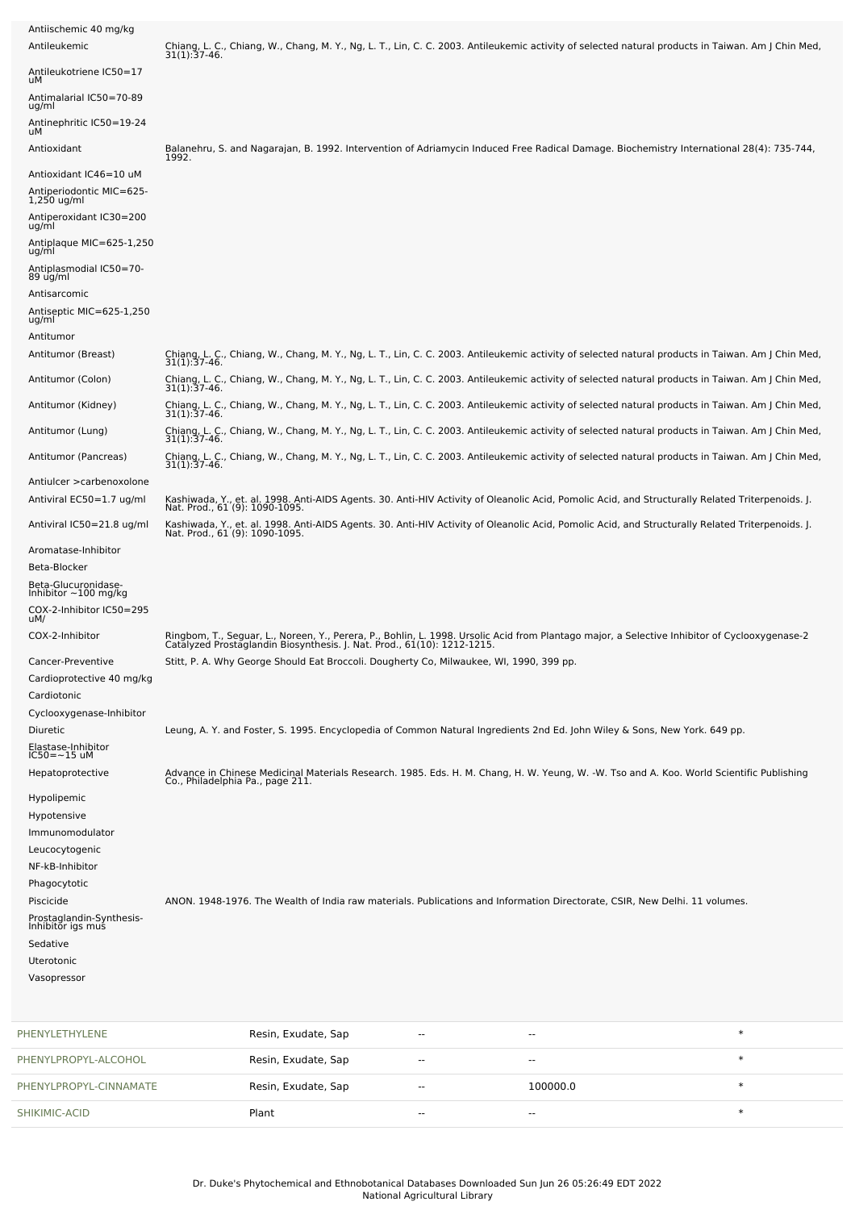| PHENYLPROPYL-CINNAMATE                                                                                                                                                                                    | Resin, Exudate, Sap                                                                                                                                                                                                                                                                                                                    | ۰. | 100000.0       | $\ast$ |
|-----------------------------------------------------------------------------------------------------------------------------------------------------------------------------------------------------------|----------------------------------------------------------------------------------------------------------------------------------------------------------------------------------------------------------------------------------------------------------------------------------------------------------------------------------------|----|----------------|--------|
| PHENYLPROPYL-ALCOHOL                                                                                                                                                                                      | Resin, Exudate, Sap                                                                                                                                                                                                                                                                                                                    | ٠. | $\overline{a}$ | $\ast$ |
| PHENYLETHYLENE                                                                                                                                                                                            | Resin, Exudate, Sap                                                                                                                                                                                                                                                                                                                    | ٠. | ٠.             | $\ast$ |
| Hypolipemic<br>Hypotensive<br>Immunomodulator<br>Leucocytogenic<br>NF-kB-Inhibitor<br>Phagocytotic<br>Piscicide<br>Prostaglandin-Synthesis-<br>Inhibitor igs mus<br>Sedative<br>Uterotonic<br>Vasopressor | ANON. 1948-1976. The Wealth of India raw materials. Publications and Information Directorate, CSIR, New Delhi. 11 volumes.                                                                                                                                                                                                             |    |                |        |
| Hepatoprotective                                                                                                                                                                                          | Advance in Chinese Medicinal Materials Research. 1985. Eds. H. M. Chang, H. W. Yeung, W. -W. Tso and A. Koo. World Scientific Publishing<br>Co., Philadelphia Pa., page 211.                                                                                                                                                           |    |                |        |
| Cardioprotective 40 mg/kg<br>Cardiotonic<br>Cyclooxygenase-Inhibitor<br><b>Diuretic</b><br>Elastase-Inhibitor<br>IC50=~15 uM                                                                              | Leung, A. Y. and Foster, S. 1995. Encyclopedia of Common Natural Ingredients 2nd Ed. John Wiley & Sons, New York. 649 pp.                                                                                                                                                                                                              |    |                |        |
| COX-2-Inhibitor<br>Cancer-Preventive                                                                                                                                                                      | Ringbom, T., Seguar, L., Noreen, Y., Perera, P., Bohlin, L. 1998. Ursolic Acid from Plantago major, a Selective Inhibitor of Cyclooxygenase-2<br>Catalyzed Prostaglandin Biosynthesis. J. Nat. Prod., 61(10): 1212-1215.<br>Stitt, P. A. Why George Should Eat Broccoli. Dougherty Co, Milwaukee, WI, 1990, 399 pp.                    |    |                |        |
| Aromatase-Inhibitor<br>Beta-Blocker<br>Beta-Glucuronidase-<br>Inhibitor $\sim$ 100 mg/kg<br>COX-2-Inhibitor IC50=295<br>uM/                                                                               |                                                                                                                                                                                                                                                                                                                                        |    |                |        |
| Antiviral IC50=21.8 ug/ml                                                                                                                                                                                 | Kashiwada, Y., et. al. 1998. Anti-AIDS Agents. 30. Anti-HIV Activity of Oleanolic Acid, Pomolic Acid, and Structurally Related Triterpenoids. J.<br>Nat. Prod., 61 (9): 1090-1095.                                                                                                                                                     |    |                |        |
| Antiviral EC50=1.7 ug/ml                                                                                                                                                                                  | Kashiwada, Y., et. al. 1998. Anti-AIDS Agents. 30. Anti-HIV Activity of Oleanolic Acid, Pomolic Acid, and Structurally Related Triterpenoids. J.<br>Nat. Prod., 61 (9): 1090-1095.                                                                                                                                                     |    |                |        |
| Antiulcer > carbenoxolone                                                                                                                                                                                 | 31(1):37-46.                                                                                                                                                                                                                                                                                                                           |    |                |        |
| Antitumor (Pancreas)                                                                                                                                                                                      | Chiang, L. C., Chiang, W., Chang, M. Y., Ng, L. T., Lin, C. C. 2003. Antileukemic activity of selected natural products in Taiwan. Am J Chin Med,                                                                                                                                                                                      |    |                |        |
| Antitumor (Kidney)<br>Antitumor (Lung)                                                                                                                                                                    | Chiang, L. C., Chiang, W., Chang, M. Y., Ng, L. T., Lin, C. C. 2003. Antileukemic activity of selected natural products in Taiwan. Am J Chin Med,<br>31(1):37-46.<br>Chiang, L. C., Chiang, W., Chang, M. Y., Ng, L. T., Lin, C. C. 2003. Antileukemic activity of selected natural products in Taiwan. Am J Chin Med,<br>31(1):37-46. |    |                |        |
| Antitumor (Colon)                                                                                                                                                                                         | Chiang, L. C., Chiang, W., Chang, M. Y., Ng, L. T., Lin, C. C. 2003. Antileukemic activity of selected natural products in Taiwan. Am J Chin Med,<br>31(1):37-46.                                                                                                                                                                      |    |                |        |
| Antitumor (Breast)                                                                                                                                                                                        | Chiang, L. C., Chiang, W., Chang, M. Y., Ng, L. T., Lin, C. C. 2003. Antileukemic activity of selected natural products in Taiwan. Am J Chin Med,<br>31(1):37-46.                                                                                                                                                                      |    |                |        |
| ug/ml<br>Antiplasmodial IC50=70-<br>89 ug/ml<br>Antisarcomic<br>Antiseptic MIC=625-1,250<br>ug/ml<br>Antitumor                                                                                            |                                                                                                                                                                                                                                                                                                                                        |    |                |        |
| Antioxidant IC46=10 uM<br>Antiperiodontic MIC=625-<br>1,250 ug/ml<br>Antiperoxidant IC30=200<br>ug/ml<br>Antiplaque MIC=625-1,250                                                                         |                                                                                                                                                                                                                                                                                                                                        |    |                |        |
| Antimalarial IC50=70-89<br>ug/ml<br>Antinephritic IC50=19-24<br>uМ<br>Antioxidant                                                                                                                         | Balanehru, S. and Nagarajan, B. 1992. Intervention of Adriamycin Induced Free Radical Damage. Biochemistry International 28(4): 735-744,<br>1992.                                                                                                                                                                                      |    |                |        |
| Antileukotriene IC50=17<br>uМ                                                                                                                                                                             |                                                                                                                                                                                                                                                                                                                                        |    |                |        |
| Antiischemic 40 mg/kg<br>Antileukemic                                                                                                                                                                     | Chiang, L. C., Chiang, W., Chang, M. Y., Ng, L. T., Lin, C. C. 2003. Antileukemic activity of selected natural products in Taiwan. Am J Chin Med,<br>31(1):37-46.                                                                                                                                                                      |    |                |        |

[SHIKIMIC-ACID](file:///phytochem/chemicals/show/16263) **Plant** Plant -- - - - - - - - - - \* \* \*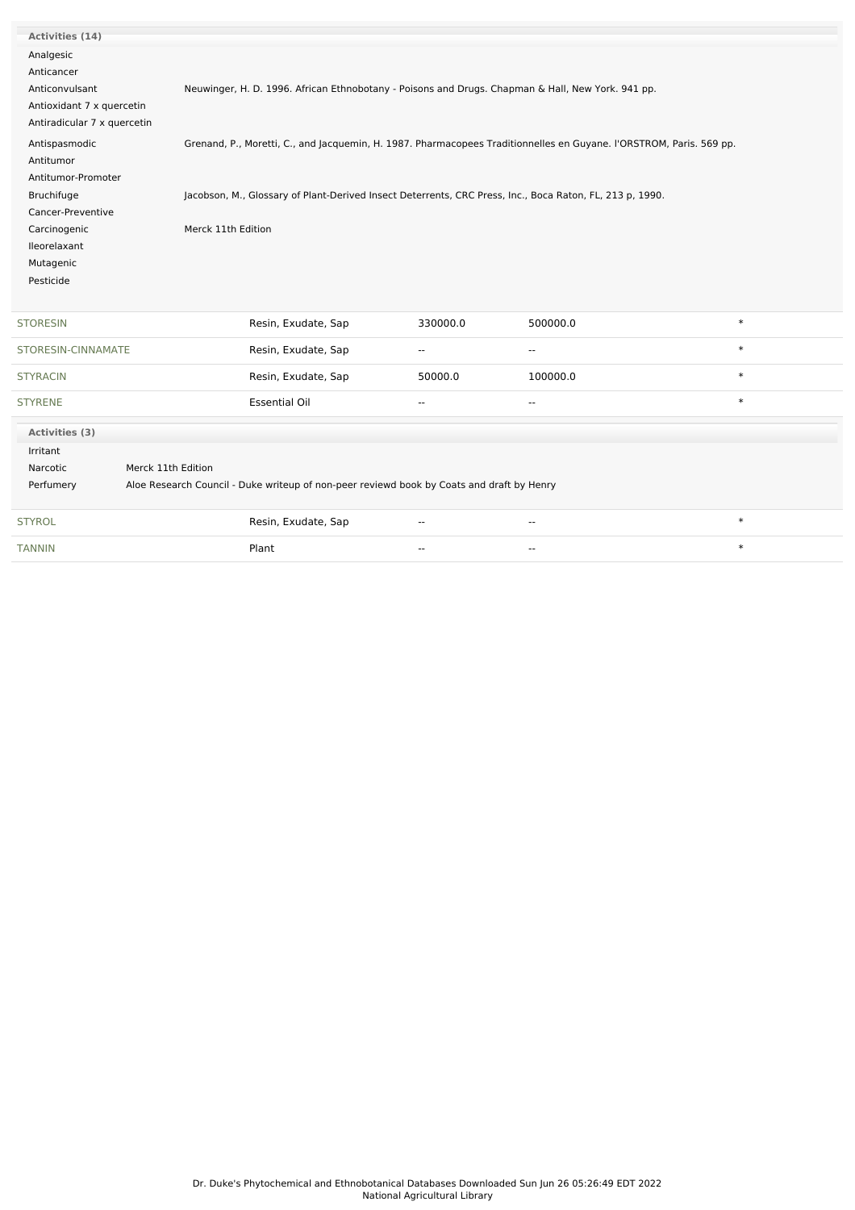| Activities (14)             |                    |                                                                                                                     |                          |                          |        |
|-----------------------------|--------------------|---------------------------------------------------------------------------------------------------------------------|--------------------------|--------------------------|--------|
| Analgesic                   |                    |                                                                                                                     |                          |                          |        |
| Anticancer                  |                    |                                                                                                                     |                          |                          |        |
| Anticonvulsant              |                    | Neuwinger, H. D. 1996. African Ethnobotany - Poisons and Drugs. Chapman & Hall, New York. 941 pp.                   |                          |                          |        |
| Antioxidant 7 x quercetin   |                    |                                                                                                                     |                          |                          |        |
| Antiradicular 7 x quercetin |                    |                                                                                                                     |                          |                          |        |
| Antispasmodic               |                    | Grenand, P., Moretti, C., and Jacquemin, H. 1987. Pharmacopees Traditionnelles en Guyane. l'ORSTROM, Paris. 569 pp. |                          |                          |        |
| Antitumor                   |                    |                                                                                                                     |                          |                          |        |
| Antitumor-Promoter          |                    |                                                                                                                     |                          |                          |        |
| Bruchifuge                  |                    | Jacobson, M., Glossary of Plant-Derived Insect Deterrents, CRC Press, Inc., Boca Raton, FL, 213 p, 1990.            |                          |                          |        |
| Cancer-Preventive           |                    |                                                                                                                     |                          |                          |        |
| Carcinogenic                | Merck 11th Edition |                                                                                                                     |                          |                          |        |
| Ileorelaxant                |                    |                                                                                                                     |                          |                          |        |
| Mutagenic                   |                    |                                                                                                                     |                          |                          |        |
| Pesticide                   |                    |                                                                                                                     |                          |                          |        |
|                             |                    |                                                                                                                     |                          |                          |        |
| <b>STORESIN</b>             |                    | Resin, Exudate, Sap                                                                                                 | 330000.0                 | 500000.0                 | $\ast$ |
| STORESIN-CINNAMATE          |                    | Resin, Exudate, Sap                                                                                                 | --                       | --                       | $\ast$ |
| <b>STYRACIN</b>             |                    | Resin, Exudate, Sap                                                                                                 | 50000.0                  | 100000.0                 | $\ast$ |
| <b>STYRENE</b>              |                    | <b>Essential Oil</b>                                                                                                | $\overline{\phantom{a}}$ | $\overline{\phantom{a}}$ | $\ast$ |
| Activities (3)              |                    |                                                                                                                     |                          |                          |        |
| Irritant                    |                    |                                                                                                                     |                          |                          |        |
| Narcotic                    | Merck 11th Edition |                                                                                                                     |                          |                          |        |
| Perfumery                   |                    | Aloe Research Council - Duke writeup of non-peer reviewd book by Coats and draft by Henry                           |                          |                          |        |
| <b>STYROL</b>               |                    | Resin, Exudate, Sap                                                                                                 | $\overline{\phantom{a}}$ | $\overline{\phantom{a}}$ | $\ast$ |
| <b>TANNIN</b>               |                    | Plant                                                                                                               | $\overline{\phantom{a}}$ | ۰.                       | $\ast$ |
|                             |                    |                                                                                                                     |                          |                          |        |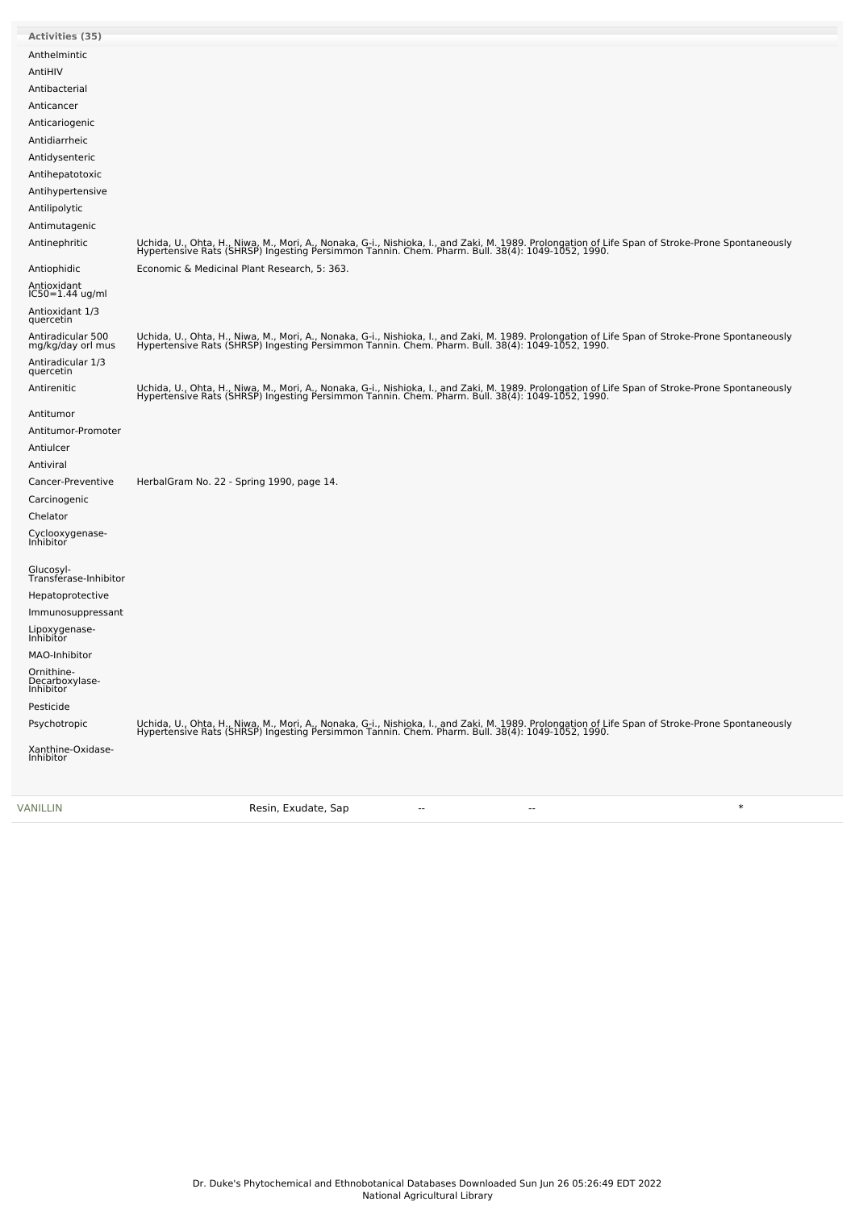| Activities (35)                                  |                                                                                                                                                                                                                                                      |
|--------------------------------------------------|------------------------------------------------------------------------------------------------------------------------------------------------------------------------------------------------------------------------------------------------------|
| Anthelmintic                                     |                                                                                                                                                                                                                                                      |
| AntiHIV                                          |                                                                                                                                                                                                                                                      |
| Antibacterial                                    |                                                                                                                                                                                                                                                      |
| Anticancer                                       |                                                                                                                                                                                                                                                      |
| Anticariogenic                                   |                                                                                                                                                                                                                                                      |
| Antidiarrheic                                    |                                                                                                                                                                                                                                                      |
| Antidysenteric                                   |                                                                                                                                                                                                                                                      |
| Antihepatotoxic                                  |                                                                                                                                                                                                                                                      |
| Antihypertensive                                 |                                                                                                                                                                                                                                                      |
| Antilipolytic                                    |                                                                                                                                                                                                                                                      |
| Antimutagenic                                    |                                                                                                                                                                                                                                                      |
| Antinephritic                                    | Uchida, U., Ohta, H., Niwa, M., Mori, A., Nonaka, G-i., Nishioka, I., and Zaki, M. 1989. Prolongation of Life Span of Stroke-Prone Spontaneously<br>Hypertensive Rats (SHRSP) Ingesting Persimmon Tannin. Chem. Pharm. Bull. 38(4                    |
| Antiophidic                                      | Economic & Medicinal Plant Research, 5: 363.                                                                                                                                                                                                         |
| Antioxidant<br>IC50=1.44 ug/ml                   |                                                                                                                                                                                                                                                      |
| Antioxidant 1/3<br>quercetin                     |                                                                                                                                                                                                                                                      |
| Antiradicular 500<br>mg/kg/day orl mus           | Uchida, U., Ohta, H., Niwa, M., Mori, A., Nonaka, G-i., Nishioka, I., and Zaki, M. 1989. Prolongation of Life Span of Stroke-Prone Spontaneously<br>Hypertensive Rats (SHRSP) Ingesting Persimmon Tannin. Chem. Pharm. Bull. 38(4                    |
| Antiradicular 1/3<br>quercetin                   |                                                                                                                                                                                                                                                      |
| Antirenitic                                      | Uchida, U., Ohta, H., Niwa, M., Mori, A., Nonaka, G-i., Nishioka, I., and Zaki, M. 1989. Prolongation of Life Span of Stroke-Prone Spontaneously<br>Hypertensive Rats (SHRSP) Ingesting Persimmon Tannin. Chem. Pharm. Bull. 38(4): 1049-1052, 1990. |
| Antitumor                                        |                                                                                                                                                                                                                                                      |
| Antitumor-Promoter                               |                                                                                                                                                                                                                                                      |
| Antiulcer                                        |                                                                                                                                                                                                                                                      |
| Antiviral                                        |                                                                                                                                                                                                                                                      |
| Cancer-Preventive                                | HerbalGram No. 22 - Spring 1990, page 14.                                                                                                                                                                                                            |
| Carcinogenic                                     |                                                                                                                                                                                                                                                      |
| Chelator                                         |                                                                                                                                                                                                                                                      |
| Cyclooxygenase-<br>Inhibitor                     |                                                                                                                                                                                                                                                      |
| Glucosyl-<br>Transferase-Inhibitor               |                                                                                                                                                                                                                                                      |
| Hepatoprotective                                 |                                                                                                                                                                                                                                                      |
| Immunosuppressant                                |                                                                                                                                                                                                                                                      |
| Lipoxygenase-<br>Inhibitor                       |                                                                                                                                                                                                                                                      |
| MAO-Inhibitor                                    |                                                                                                                                                                                                                                                      |
| Ornithine-<br>Decarboxylase-<br><b>Inhibitor</b> |                                                                                                                                                                                                                                                      |
| Pesticide                                        |                                                                                                                                                                                                                                                      |
| Psychotropic                                     |                                                                                                                                                                                                                                                      |
|                                                  | Uchida, U., Ohta, H., Niwa, M., Mori, A., Nonaka, G-i., Nishioka, I., and Zaki, M. 1989. Prolongation of Life Span of Stroke-Prone Spontaneously<br>Hypertensive Rats (SHRSP) Ingesting Persimmon Tannin. Chem. Pharm. Bull. 38(4                    |
| Xanthine-Oxidase-<br>Inhibitor                   |                                                                                                                                                                                                                                                      |
|                                                  |                                                                                                                                                                                                                                                      |

[VANILLIN](file:///phytochem/chemicals/show/17794) Resin, Exudate, Sap -- -- \*